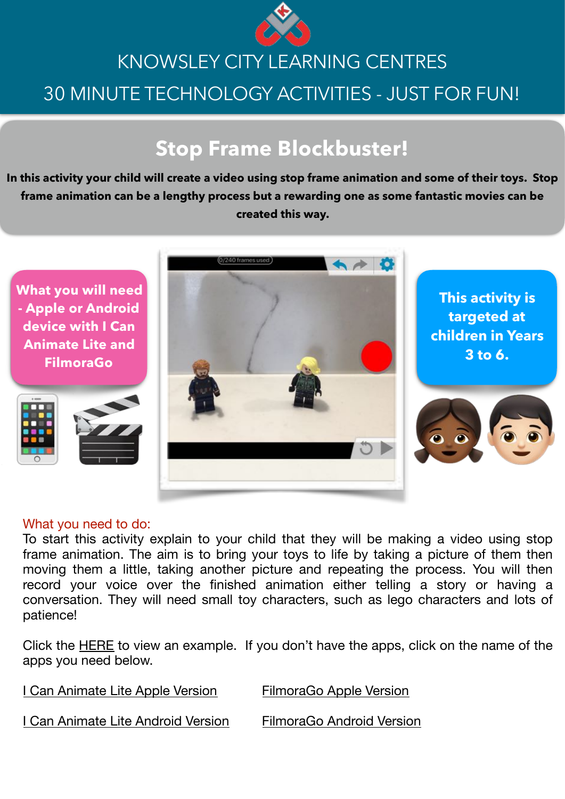

# KNOWSLEY CITY LEARNING CENTRES 30 MINUTE TECHNOLOGY ACTIVITIES - JUST FOR FUN!

## **Stop Frame Blockbuster!**

**In this activity your child will create a video using stop frame animation and some of their toys. Stop frame animation can be a lengthy process but a rewarding one as some fantastic movies can be created this way.** 

**What you will need - Apple or Android device with I Can Animate Lite and FilmoraGo**





**This activity is targeted at children in Years 3 to 6.**

### What you need to do:

To start this activity explain to your child that they will be making a video using stop frame animation. The aim is to bring your toys to life by taking a picture of them then moving them a little, taking another picture and repeating the process. You will then record your voice over the finished animation either telling a story or having a conversation. They will need small toy characters, such as lego characters and lots of patience!

Click the **[HERE](https://drive.google.com/file/d/1bYcDiMrf7KSFvAnm2IUYGFQyEvWjLqvf/view?usp=sharing)** to view an example. If you don't have the apps, click on the name of the apps you need below.

[I Can Animate Lite Apple Version](https://apps.apple.com/gb/app/i-can-animate-lite/id950631539) [FilmoraGo Apple Version](https://apps.apple.com/hr/app/filmorago-free-video-editor-of-photo-movie-editing/id1019382747)

[I Can Animate Lite Android Version](https://play.google.com/store/apps/details?id=net.kudlian.icananimate2&hl=en_GB) [FilmoraGo Android Version](https://play.google.com/store/apps/details?id=com.wondershare.filmorago)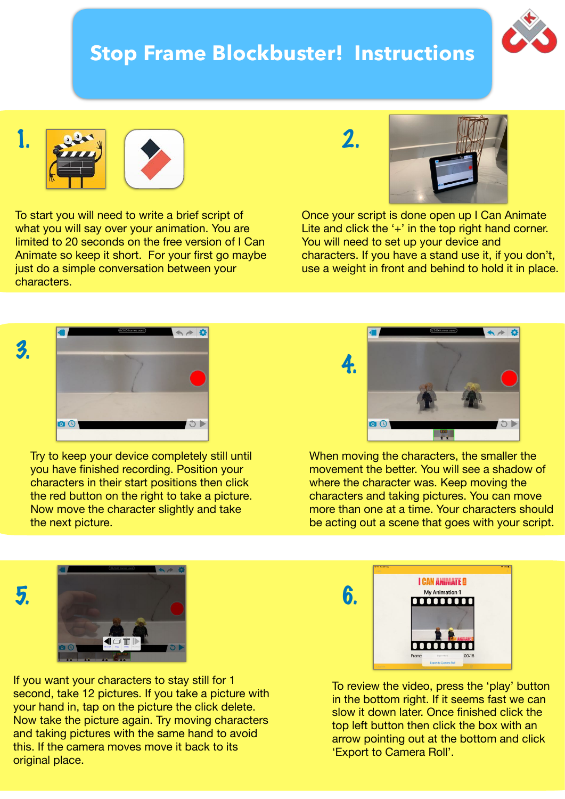### **Stop Frame Blockbuster! Instructions**





To start you will need to write a brief script of what you will say over your animation. You are limited to 20 seconds on the free version of I Can Animate so keep it short. For your first go maybe just do a simple conversation between your characters.





Once your script is done open up I Can Animate Lite and click the  $+$ ' in the top right hand corner. You will need to set up your device and characters. If you have a stand use it, if you don't, use a weight in front and behind to hold it in place.





Try to keep your device completely still until you have finished recording. Position your characters in their start positions then click the red button on the right to take a picture. Now move the character slightly and take the next picture.



When moving the characters, the smaller the movement the better. You will see a shadow of where the character was. Keep moving the characters and taking pictures. You can move more than one at a time. Your characters should be acting out a scene that goes with your script.



If you want your characters to stay still for 1 second, take 12 pictures. If you take a picture with your hand in, tap on the picture the click delete. Now take the picture again. Try moving characters and taking pictures with the same hand to avoid this. If the camera moves move it back to its original place.



To review the video, press the 'play' button in the bottom right. If it seems fast we can slow it down later. Once finished click the top left button then click the box with an arrow pointing out at the bottom and click 'Export to Camera Roll'.